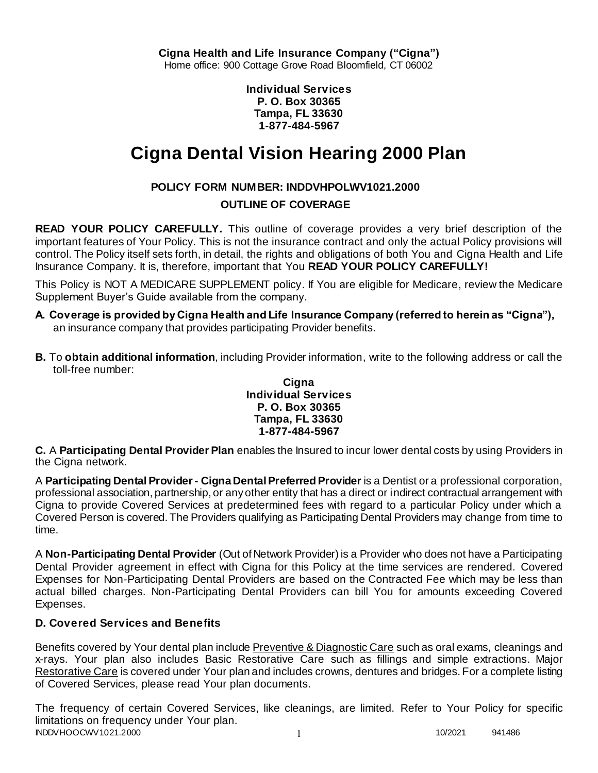**Individual Services P. O. Box 30365 Tampa, FL 33630 1-877-484-5967**

# **Cigna Dental Vision Hearing 2000 Plan**

# **POLICY FORM NUMBER: INDDVHPOLWV1021.2000**

## **OUTLINE OF COVERAGE**

**READ YOUR POLICY CAREFULLY.** This outline of coverage provides a very brief description of the important features of Your Policy. This is not the insurance contract and only the actual Policy provisions will control. The Policy itself sets forth, in detail, the rights and obligations of both You and Cigna Health and Life Insurance Company. It is, therefore, important that You **READ YOUR POLICY CAREFULLY!** 

This Policy is NOT A MEDICARE SUPPLEMENT policy. If You are eligible for Medicare, review the Medicare Supplement Buyer's Guide available from the company.

- **A. Coverage is provided by Cigna Health and Life Insurance Company (referred to herein as "Cigna"),**  an insurance company that provides participating Provider benefits.
- **B.** To **obtain additional information**, including Provider information, write to the following address or call the toll-free number:

#### **Cigna Individual Services P. O. Box 30365 Tampa, FL 33630 1-877-484-5967**

**C.** A **Participating Dental Provider Plan** enables the Insured to incur lower dental costs by using Providers in the Cigna network.

A **Participating Dental Provider - Cigna Dental Preferred Provider** is a Dentist or a professional corporation, professional association, partnership, or any other entity that has a direct or indirect contractual arrangement with Cigna to provide Covered Services at predetermined fees with regard to a particular Policy under which a Covered Person is covered. The Providers qualifying as Participating Dental Providers may change from time to time.

A **Non-Participating Dental Provider** (Out of Network Provider) is a Provider who does not have a Participating Dental Provider agreement in effect with Cigna for this Policy at the time services are rendered. Covered Expenses for Non-Participating Dental Providers are based on the Contracted Fee which may be less than actual billed charges. Non-Participating Dental Providers can bill You for amounts exceeding Covered Expenses.

## **D. Covered Services and Benefits**

Benefits covered by Your dental plan include Preventive & Diagnostic Care such as oral exams, cleanings and x-rays. Your plan also includes Basic Restorative Care such as fillings and simple extractions. Major Restorative Care is covered under Your plan and includes crowns, dentures and bridges. For a complete listing of Covered Services, please read Your plan documents.

INDDVHOOCWV1021.2000 1 10/2021 941486 The frequency of certain Covered Services, like cleanings, are limited. Refer to Your Policy for specific limitations on frequency under Your plan.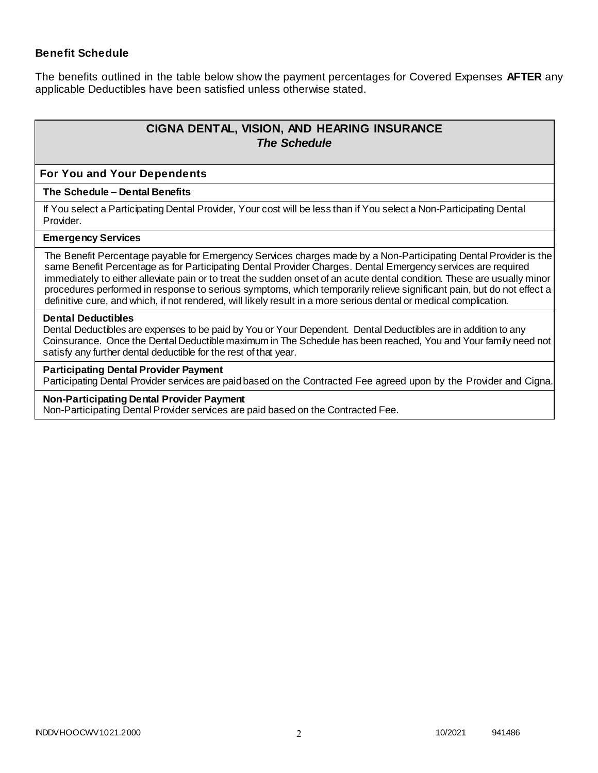### **Benefit Schedule**

The benefits outlined in the table below show the payment percentages for Covered Expenses **AFTER** any applicable Deductibles have been satisfied unless otherwise stated.

# **CIGNA DENTAL, VISION, AND HEARING INSURANCE** *The Schedule*

#### **For You and Your Dependents**

#### **The Schedule – Dental Benefits**

If You select a Participating Dental Provider, Your cost will be less than if You select a Non-Participating Dental Provider.

#### **Emergency Services**

The Benefit Percentage payable for Emergency Services charges made by a Non-Participating Dental Provider is the same Benefit Percentage as for Participating Dental Provider Charges. Dental Emergency services are required immediately to either alleviate pain or to treat the sudden onset of an acute dental condition. These are usually minor procedures performed in response to serious symptoms, which temporarily relieve significant pain, but do not effect a definitive cure, and which, if not rendered, will likely result in a more serious dental or medical complication.

#### **Dental Deductibles**

Dental Deductibles are expenses to be paid by You or Your Dependent. Dental Deductibles are in addition to any Coinsurance. Once the Dental Deductible maximum in The Schedule has been reached, You and Your family need not satisfy any further dental deductible for the rest of that year.

#### **Participating Dental Provider Payment**

Participating Dental Provider services are paid based on the Contracted Fee agreed upon by the Provider and Cigna.

#### **Non-Participating Dental Provider Payment**

Non-Participating Dental Provider services are paid based on the Contracted Fee.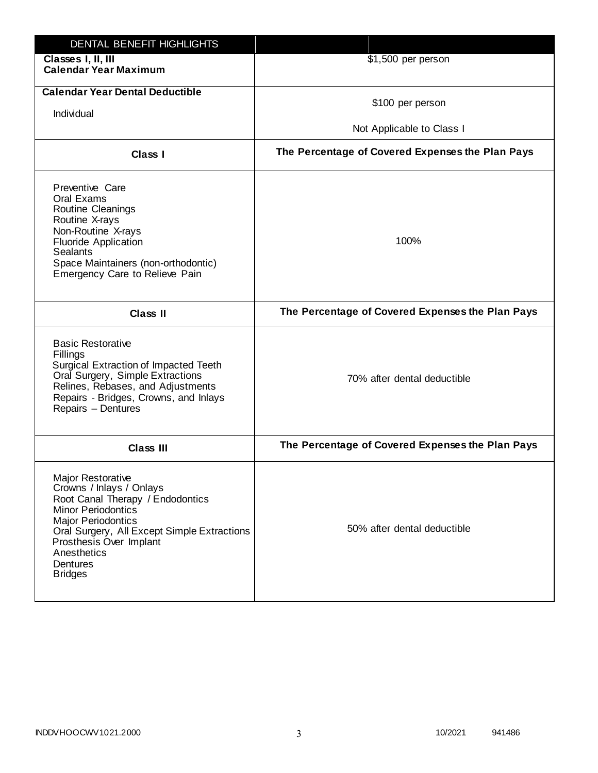| DENTAL BENEFIT HIGHLIGHTS                                                                                                                                                                                                                                          |                                                  |
|--------------------------------------------------------------------------------------------------------------------------------------------------------------------------------------------------------------------------------------------------------------------|--------------------------------------------------|
| Classes I, II, III<br><b>Calendar Year Maximum</b>                                                                                                                                                                                                                 | \$1,500 per person                               |
| <b>Calendar Year Dental Deductible</b><br>Individual                                                                                                                                                                                                               | \$100 per person<br>Not Applicable to Class I    |
| Class I                                                                                                                                                                                                                                                            | The Percentage of Covered Expenses the Plan Pays |
| Preventive Care<br>Oral Exams<br>Routine Cleanings<br>Routine X-rays<br>Non-Routine X-rays<br><b>Fluoride Application</b><br><b>Sealants</b><br>Space Maintainers (non-orthodontic)<br>Emergency Care to Relieve Pain                                              | 100%                                             |
| <b>Class II</b>                                                                                                                                                                                                                                                    | The Percentage of Covered Expenses the Plan Pays |
| <b>Basic Restorative</b><br>Fillings<br>Surgical Extraction of Impacted Teeth<br>Oral Surgery, Simple Extractions<br>Relines, Rebases, and Adjustments<br>Repairs - Bridges, Crowns, and Inlays<br>Repairs - Dentures                                              | 70% after dental deductible                      |
| <b>Class III</b>                                                                                                                                                                                                                                                   | The Percentage of Covered Expenses the Plan Pays |
| Major Restorative<br>Crowns / Inlays / Onlays<br>Root Canal Therapy / Endodontics<br><b>Minor Periodontics</b><br><b>Major Periodontics</b><br>Oral Surgery, All Except Simple Extractions<br>Prosthesis Over Implant<br>Anesthetics<br>Dentures<br><b>Bridges</b> | 50% after dental deductible                      |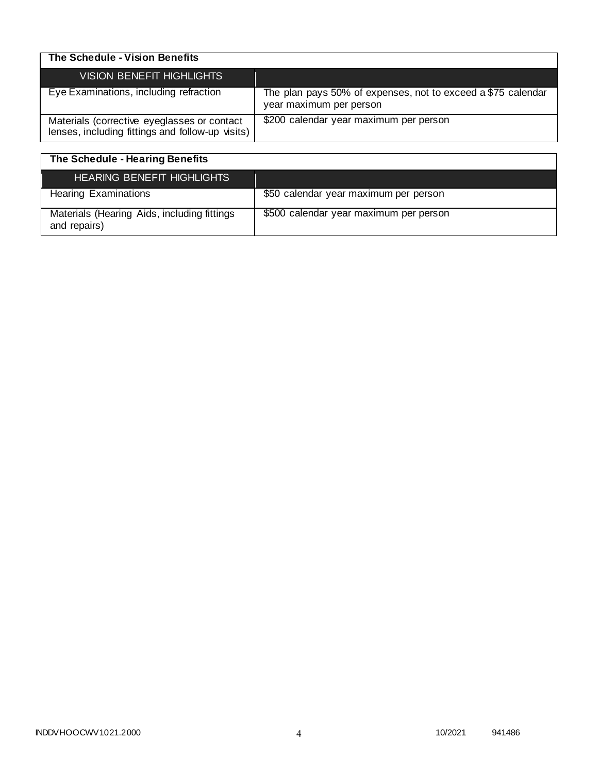| The Schedule - Vision Benefits                                                                  |                                                                                         |
|-------------------------------------------------------------------------------------------------|-----------------------------------------------------------------------------------------|
| VISION BENEFIT HIGHLIGHTS                                                                       |                                                                                         |
| Eye Examinations, including refraction                                                          | The plan pays 50% of expenses, not to exceed a \$75 calendar<br>year maximum per person |
| Materials (corrective eyeglasses or contact<br>lenses, including fittings and follow-up visits) | \$200 calendar year maximum per person                                                  |

| The Schedule - Hearing Benefits                             |                                        |
|-------------------------------------------------------------|----------------------------------------|
| <b>HEARING BENEFIT HIGHLIGHTS</b>                           |                                        |
| <b>Hearing Examinations</b>                                 | \$50 calendar year maximum per person  |
| Materials (Hearing Aids, including fittings<br>and repairs) | \$500 calendar year maximum per person |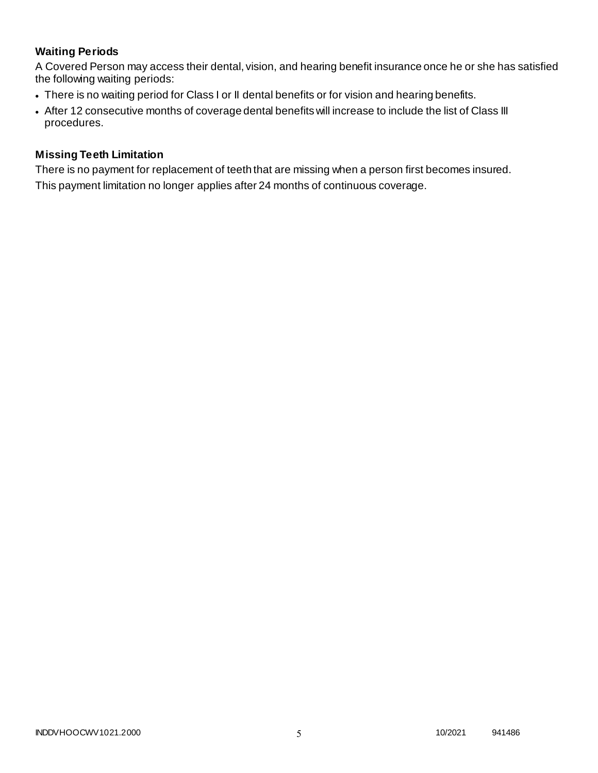# **Waiting Periods**

A Covered Person may access their dental, vision, and hearing benefit insurance once he or she has satisfied the following waiting periods:

- There is no waiting period for Class I or II dental benefits or for vision and hearing benefits.
- After 12 consecutive months of coverage dental benefits will increase to include the list of Class III procedures.

### **Missing Teeth Limitation**

There is no payment for replacement of teeth that are missing when a person first becomes insured. This payment limitation no longer applies after 24 months of continuous coverage.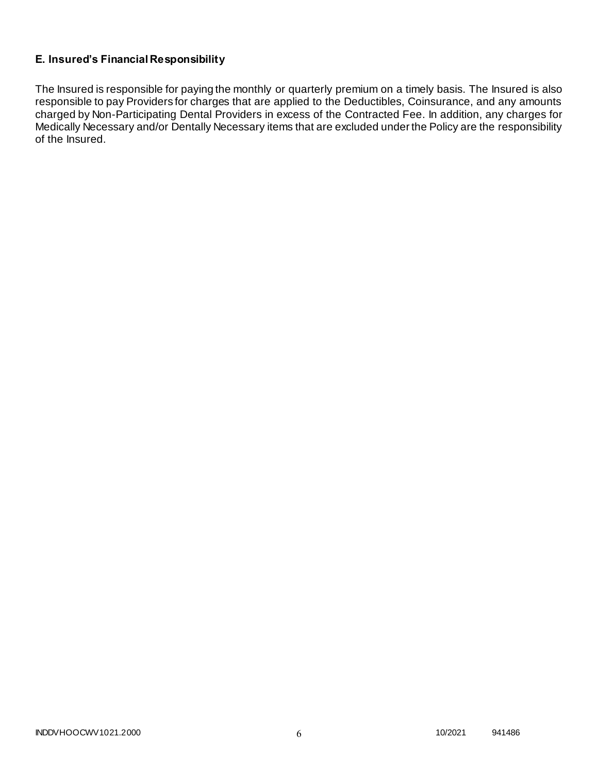## **E. Insured's Financial Responsibility**

The Insured is responsible for paying the monthly or quarterly premium on a timely basis. The Insured is also responsible to pay Providers for charges that are applied to the Deductibles, Coinsurance, and any amounts charged by Non-Participating Dental Providers in excess of the Contracted Fee. In addition, any charges for Medically Necessary and/or Dentally Necessary items that are excluded under the Policy are the responsibility of the Insured.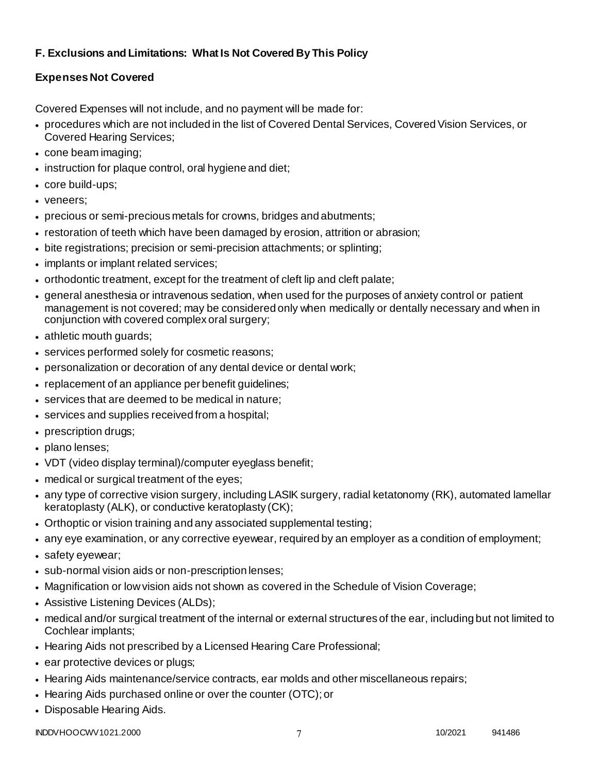# **F. Exclusions and Limitations: What Is Not Covered By This Policy**

# **Expenses Not Covered**

Covered Expenses will not include, and no payment will be made for:

- procedures which are not included in the list of Covered Dental Services, Covered Vision Services, or Covered Hearing Services;
- cone beam imaging;
- instruction for plaque control, oral hygiene and diet;
- core build-ups;
- veneers;
- precious or semi-precious metals for crowns, bridges and abutments;
- restoration of teeth which have been damaged by erosion, attrition or abrasion;
- bite registrations; precision or semi-precision attachments; or splinting;
- implants or implant related services;
- orthodontic treatment, except for the treatment of cleft lip and cleft palate;
- general anesthesia or intravenous sedation, when used for the purposes of anxiety control or patient management is not covered; may be considered only when medically or dentally necessary and when in conjunction with covered complex oral surgery;
- athletic mouth guards;
- services performed solely for cosmetic reasons;
- personalization or decoration of any dental device or dental work;
- replacement of an appliance per benefit guidelines;
- services that are deemed to be medical in nature;
- services and supplies received from a hospital;
- prescription drugs;
- plano lenses:
- VDT (video display terminal)/computer eyeglass benefit;
- medical or surgical treatment of the eyes;
- any type of corrective vision surgery, including LASIK surgery, radial ketatonomy (RK), automated lamellar keratoplasty (ALK), or conductive keratoplasty (CK);
- Orthoptic or vision training and any associated supplemental testing;
- any eye examination, or any corrective eyewear, required by an employer as a condition of employment;
- safety eyewear;
- sub-normal vision aids or non-prescription lenses;
- Magnification or low vision aids not shown as covered in the Schedule of Vision Coverage;
- Assistive Listening Devices (ALDs);
- medical and/or surgical treatment of the internal or external structures of the ear, including but not limited to Cochlear implants;
- Hearing Aids not prescribed by a Licensed Hearing Care Professional;
- ear protective devices or plugs;
- Hearing Aids maintenance/service contracts, ear molds and other miscellaneous repairs;
- Hearing Aids purchased online or over the counter (OTC); or
- Disposable Hearing Aids.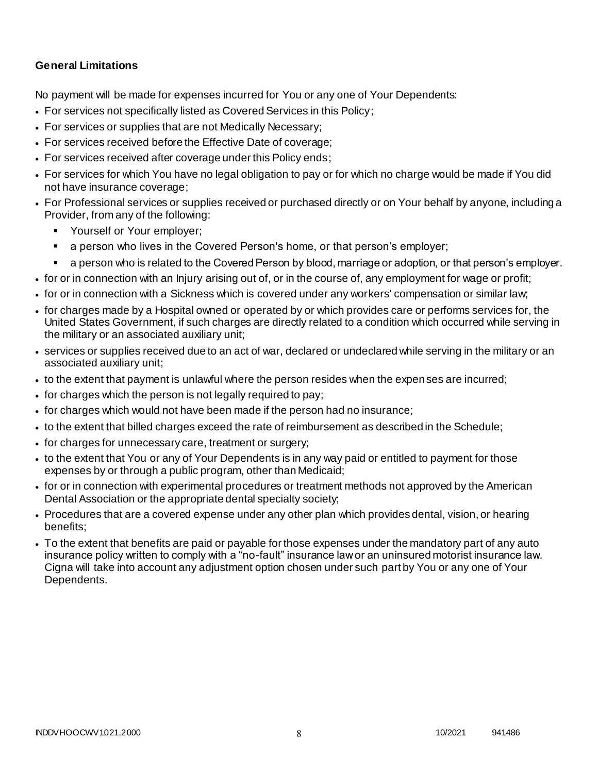### **General Limitations**

No payment will be made for expenses incurred for You or any one of Your Dependents:

- For services not specifically listed as Covered Services in this Policy;
- For services or supplies that are not Medically Necessary;
- For services received before the Effective Date of coverage;
- For services received after coverage under this Policy ends;
- For services for which You have no legal obligation to pay or for which no charge would be made if You did not have insurance coverage;
- For Professional services or supplies received or purchased directly or on Your behalf by anyone, including a Provider, from any of the following:
	- **Yourself or Your employer;**
	- a person who lives in the Covered Person's home, or that person's employer;
	- a person who is related to the Covered Person by blood, marriage or adoption, or that person's employer.
- for or in connection with an Injury arising out of, or in the course of, any employment for wage or profit;
- for or in connection with a Sickness which is covered under any workers' compensation or similar law;
- for charges made by a Hospital owned or operated by or which provides care or performs services for, the United States Government, if such charges are directly related to a condition which occurred while serving in the military or an associated auxiliary unit;
- services or supplies received due to an act of war, declared or undeclared while serving in the military or an associated auxiliary unit;
- to the extent that payment is unlawful where the person resides when the expenses are incurred;
- for charges which the person is not legally required to pay;
- for charges which would not have been made if the person had no insurance;
- to the extent that billed charges exceed the rate of reimbursement as described in the Schedule;
- for charges for unnecessary care, treatment or surgery;
- to the extent that You or any of Your Dependents is in any way paid or entitled to payment for those expenses by or through a public program, other than Medicaid;
- for or in connection with experimental procedures or treatment methods not approved by the American Dental Association or the appropriate dental specialty society;
- Procedures that are a covered expense under any other plan which provides dental, vision, or hearing benefits;
- To the extent that benefits are paid or payable for those expenses under the mandatory part of any auto insurance policy written to comply with a "no-fault" insurance law or an uninsured motorist insurance law. Cigna will take into account any adjustment option chosen under such part by You or any one of Your Dependents.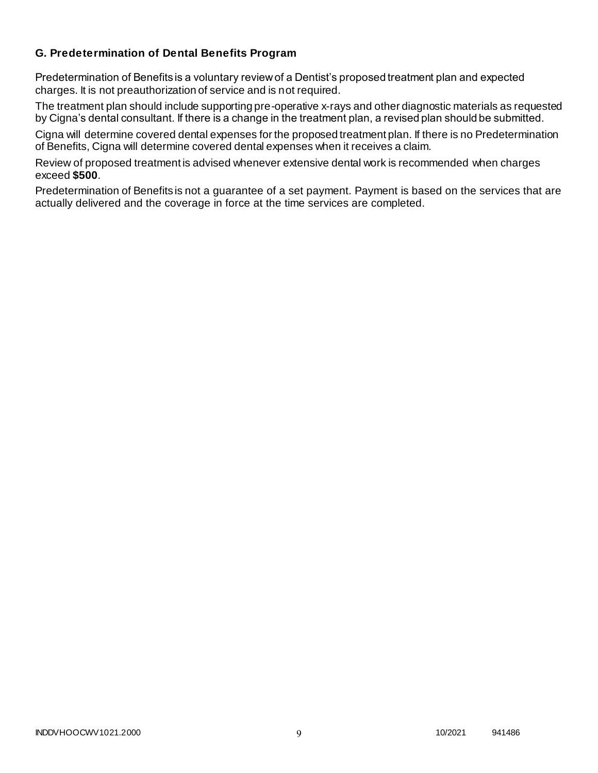### **G. Predetermination of Dental Benefits Program**

Predetermination of Benefits is a voluntary review of a Dentist's proposed treatment plan and expected charges. It is not preauthorization of service and is not required.

The treatment plan should include supporting pre-operative x-rays and other diagnostic materials as requested by Cigna's dental consultant. If there is a change in the treatment plan, a revised plan should be submitted.

Cigna will determine covered dental expenses for the proposed treatment plan. If there is no Predetermination of Benefits, Cigna will determine covered dental expenses when it receives a claim.

Review of proposed treatment is advised whenever extensive dental work is recommended when charges exceed **\$500**.

Predetermination of Benefits is not a guarantee of a set payment. Payment is based on the services that are actually delivered and the coverage in force at the time services are completed.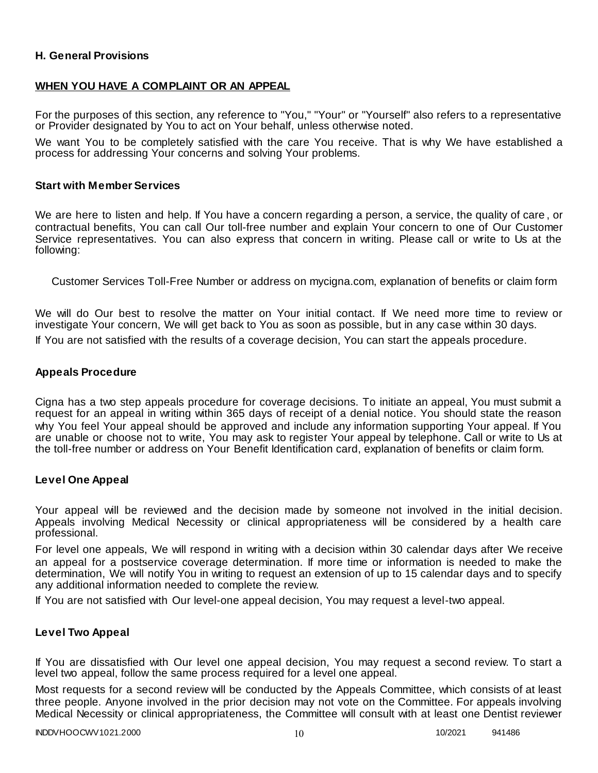### **H. General Provisions**

### **WHEN YOU HAVE A COMPLAINT OR AN APPEAL**

For the purposes of this section, any reference to "You," "Your" or "Yourself" also refers to a representative or Provider designated by You to act on Your behalf, unless otherwise noted.

We want You to be completely satisfied with the care You receive. That is why We have established a process for addressing Your concerns and solving Your problems.

#### **Start with Member Services**

We are here to listen and help. If You have a concern regarding a person, a service, the quality of care , or contractual benefits, You can call Our toll-free number and explain Your concern to one of Our Customer Service representatives. You can also express that concern in writing. Please call or write to Us at the following:

Customer Services Toll-Free Number or address on mycigna.com, explanation of benefits or claim form

We will do Our best to resolve the matter on Your initial contact. If We need more time to review or investigate Your concern, We will get back to You as soon as possible, but in any case within 30 days.

If You are not satisfied with the results of a coverage decision, You can start the appeals procedure.

#### **Appeals Procedure**

Cigna has a two step appeals procedure for coverage decisions. To initiate an appeal, You must submit a request for an appeal in writing within 365 days of receipt of a denial notice. You should state the reason why You feel Your appeal should be approved and include any information supporting Your appeal. If You are unable or choose not to write, You may ask to register Your appeal by telephone. Call or write to Us at the toll-free number or address on Your Benefit Identification card, explanation of benefits or claim form.

#### **Level One Appeal**

Your appeal will be reviewed and the decision made by someone not involved in the initial decision. Appeals involving Medical Necessity or clinical appropriateness will be considered by a health care professional.

For level one appeals, We will respond in writing with a decision within 30 calendar days after We receive an appeal for a postservice coverage determination. If more time or information is needed to make the determination, We will notify You in writing to request an extension of up to 15 calendar days and to specify any additional information needed to complete the review.

If You are not satisfied with Our level-one appeal decision, You may request a level-two appeal.

#### **Level Two Appeal**

If You are dissatisfied with Our level one appeal decision, You may request a second review. To start a level two appeal, follow the same process required for a level one appeal.

Most requests for a second review will be conducted by the Appeals Committee, which consists of at least three people. Anyone involved in the prior decision may not vote on the Committee. For appeals involving Medical Necessity or clinical appropriateness, the Committee will consult with at least one Dentist reviewer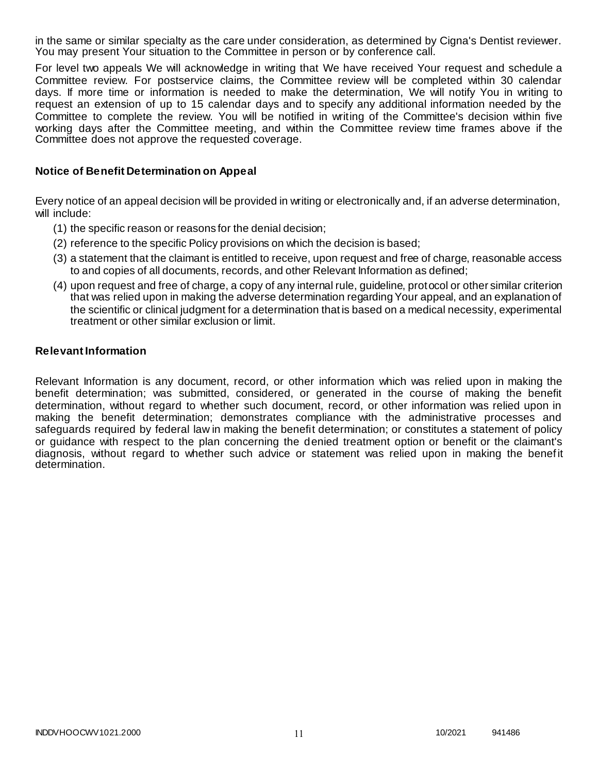in the same or similar specialty as the care under consideration, as determined by Cigna's Dentist reviewer. You may present Your situation to the Committee in person or by conference call.

For level two appeals We will acknowledge in writing that We have received Your request and schedule a Committee review. For postservice claims, the Committee review will be completed within 30 calendar days. If more time or information is needed to make the determination, We will notify You in writing to request an extension of up to 15 calendar days and to specify any additional information needed by the Committee to complete the review. You will be notified in writing of the Committee's decision within five working days after the Committee meeting, and within the Committee review time frames above if the Committee does not approve the requested coverage.

### **Notice of Benefit Determination on Appeal**

Every notice of an appeal decision will be provided in writing or electronically and, if an adverse determination, will include:

- (1) the specific reason or reasons for the denial decision;
- (2) reference to the specific Policy provisions on which the decision is based;
- (3) a statement that the claimant is entitled to receive, upon request and free of charge, reasonable access to and copies of all documents, records, and other Relevant Information as defined;
- (4) upon request and free of charge, a copy of any internal rule, guideline, protocol or other similar criterion that was relied upon in making the adverse determination regarding Your appeal, and an explanation of the scientific or clinical judgment for a determination that is based on a medical necessity, experimental treatment or other similar exclusion or limit.

#### **Relevant Information**

Relevant Information is any document, record, or other information which was relied upon in making the benefit determination; was submitted, considered, or generated in the course of making the benefit determination, without regard to whether such document, record, or other information was relied upon in making the benefit determination; demonstrates compliance with the administrative processes and safeguards required by federal law in making the benefit determination; or constitutes a statement of policy or guidance with respect to the plan concerning the denied treatment option or benefit or the claimant's diagnosis, without regard to whether such advice or statement was relied upon in making the benefit determination.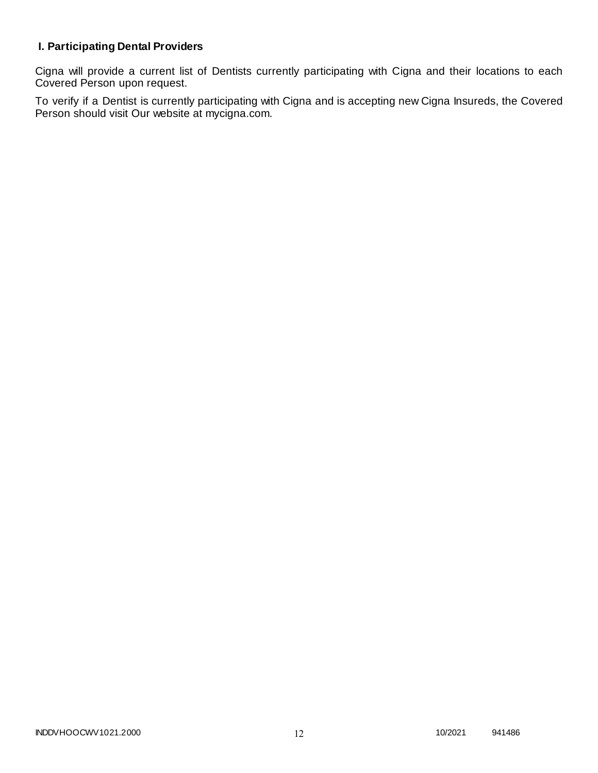# **I. Participating Dental Providers**

Cigna will provide a current list of Dentists currently participating with Cigna and their locations to each Covered Person upon request.

To verify if a Dentist is currently participating with Cigna and is accepting new Cigna Insureds, the Covered Person should visit Our website at mycigna.com.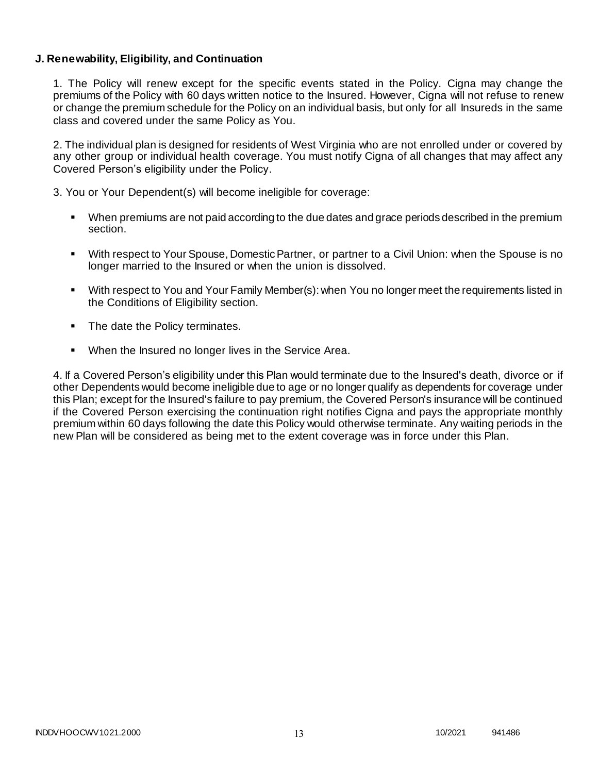### **J. Renewability, Eligibility, and Continuation**

1. The Policy will renew except for the specific events stated in the Policy. Cigna may change the premiums of the Policy with 60 days written notice to the Insured. However, Cigna will not refuse to renew or change the premium schedule for the Policy on an individual basis, but only for all Insureds in the same class and covered under the same Policy as You.

2. The individual plan is designed for residents of West Virginia who are not enrolled under or covered by any other group or individual health coverage. You must notify Cigna of all changes that may affect any Covered Person's eligibility under the Policy.

3. You or Your Dependent(s) will become ineligible for coverage:

- When premiums are not paid according to the due dates and grace periods described in the premium section.
- With respect to Your Spouse, Domestic Partner, or partner to a Civil Union: when the Spouse is no longer married to the Insured or when the union is dissolved.
- With respect to You and Your Family Member(s): when You no longer meet the requirements listed in the Conditions of Eligibility section.
- The date the Policy terminates.
- When the Insured no longer lives in the Service Area.

4. If a Covered Person's eligibility under this Plan would terminate due to the Insured's death, divorce or if other Dependents would become ineligible due to age or no longer qualify as dependents for coverage under this Plan; except for the Insured's failure to pay premium, the Covered Person's insurance will be continued if the Covered Person exercising the continuation right notifies Cigna and pays the appropriate monthly premium within 60 days following the date this Policy would otherwise terminate. Any waiting periods in the new Plan will be considered as being met to the extent coverage was in force under this Plan.